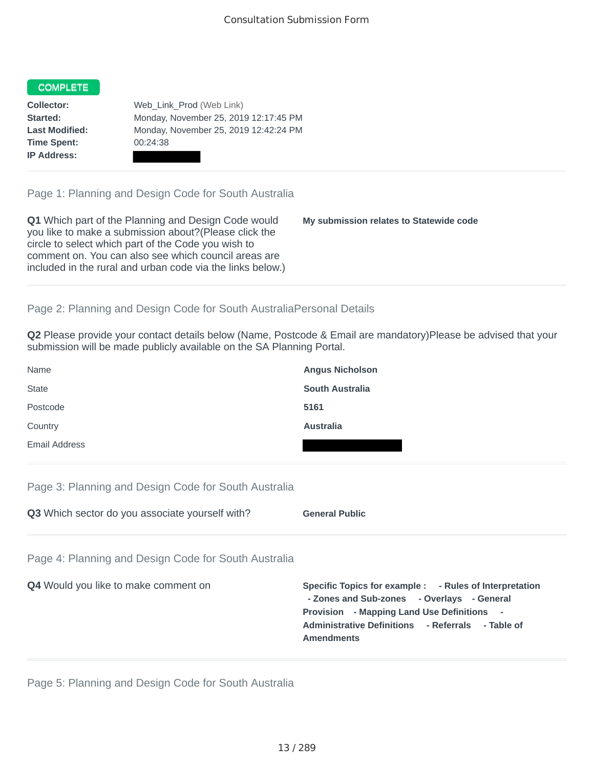## **COMPLETE**

**Time Spent:** 00:24:38 **IP Address:**

**Collector:** Web\_Link\_Prod (Web Link) **Started:** Monday, November 25, 2019 12:17:45 PM **Last Modified:** Monday, November 25, 2019 12:42:24 PM

Page 1: Planning and Design Code for South Australia

**Q1** Which part of the Planning and Design Code would you like to make a submission about?(Please click the circle to select which part of the Code you wish to comment on. You can also see which council areas are included in the rural and urban code via the links below.) **My submission relates to Statewide code**

## Page 2: Planning and Design Code for South AustraliaPersonal Details

**Q2** Please provide your contact details below (Name, Postcode & Email are mandatory)Please be advised that your submission will be made publicly available on the SA Planning Portal.

| Name                 | <b>Angus Nicholson</b> |
|----------------------|------------------------|
| <b>State</b>         | <b>South Australia</b> |
| Postcode             | 5161                   |
| Country              | Australia              |
| <b>Email Address</b> |                        |

## Page 3: Planning and Design Code for South Australia

**Q3** Which sector do you associate yourself with? **General Public** 

Page 4: Planning and Design Code for South Australia

| <b>Q4</b> Would you like to make comment on | Specific Topics for example : - Rules of Interpretation<br>- Zones and Sub-zones - Overlays - General<br><b>Provision</b> - Mapping Land Use Definitions -<br>Administrative Definitions - Referrals - Table of<br><b>Amendments</b> |
|---------------------------------------------|--------------------------------------------------------------------------------------------------------------------------------------------------------------------------------------------------------------------------------------|
|                                             |                                                                                                                                                                                                                                      |

Page 5: Planning and Design Code for South Australia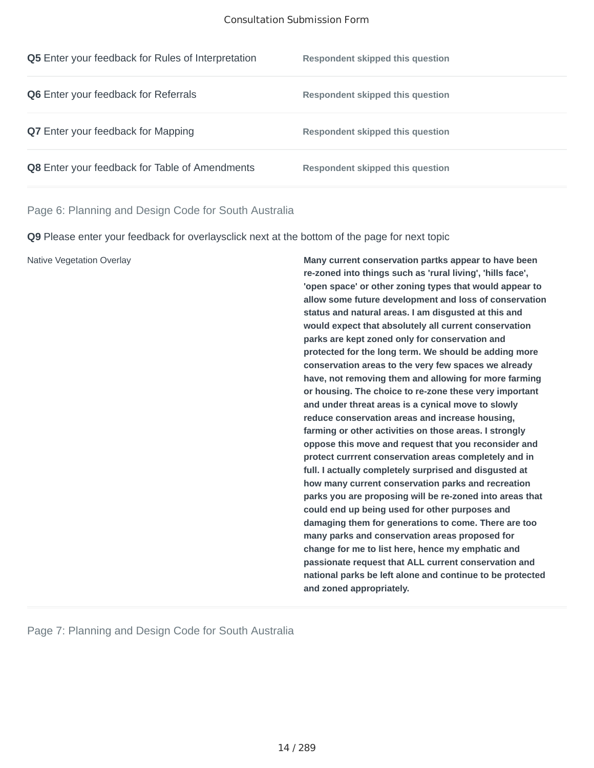#### Consultation Submission Form

| <b>Q5</b> Enter your feedback for Rules of Interpretation | Respondent skipped this question |
|-----------------------------------------------------------|----------------------------------|
| <b>Q6</b> Enter your feedback for Referrals               | Respondent skipped this question |
| <b>Q7</b> Enter your feedback for Mapping                 | Respondent skipped this question |
| Q8 Enter your feedback for Table of Amendments            | Respondent skipped this question |

Page 6: Planning and Design Code for South Australia

**Q9** Please enter your feedback for overlaysclick next at the bottom of the page for next topic

Native Vegetation Overlay **Many current conservation partks appear to have been re-zoned into things such as 'rural living', 'hills face', 'open space' or other zoning types that would appear to allow some future development and loss of conservation status and natural areas. I am disgusted at this and would expect that absolutely all current conservation parks are kept zoned only for conservation and protected for the long term. We should be adding more conservation areas to the very few spaces we already have, not removing them and allowing for more farming or housing. The choice to re-zone these very important and under threat areas is a cynical move to slowly reduce conservation areas and increase housing, farming or other activities on those areas. I strongly oppose this move and request that you reconsider and protect currrent conservation areas completely and in full. I actually completely surprised and disgusted at how many current conservation parks and recreation parks you are proposing will be re-zoned into areas that could end up being used for other purposes and damaging them for generations to come. There are too many parks and conservation areas proposed for change for me to list here, hence my emphatic and passionate request that ALL current conservation and national parks be left alone and continue to be protected and zoned appropriately.**

Page 7: Planning and Design Code for South Australia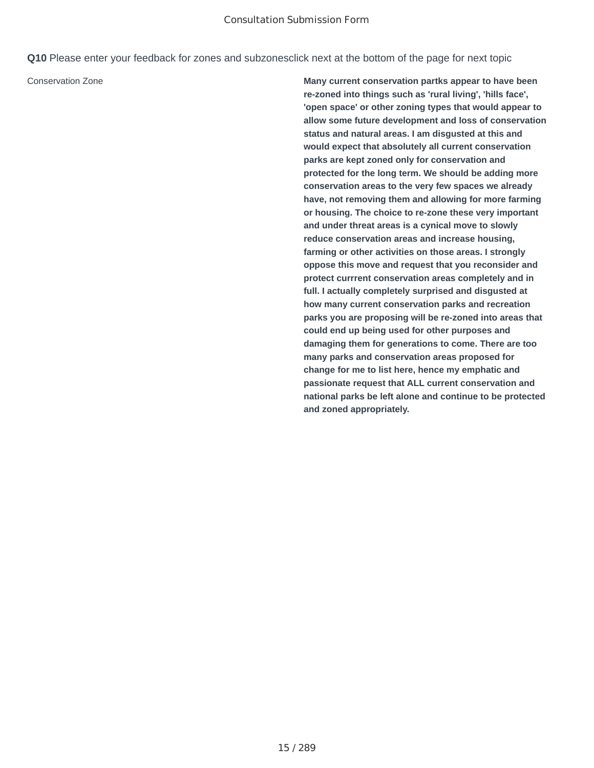**Q10** Please enter your feedback for zones and subzonesclick next at the bottom of the page for next topic

Conservation Zone **Many current conservation partks appear to have been re-zoned into things such as 'rural living', 'hills face', 'open space' or other zoning types that would appear to allow some future development and loss of conservation status and natural areas. I am disgusted at this and would expect that absolutely all current conservation parks are kept zoned only for conservation and protected for the long term. We should be adding more conservation areas to the very few spaces we already have, not removing them and allowing for more farming or housing. The choice to re-zone these very important and under threat areas is a cynical move to slowly reduce conservation areas and increase housing, farming or other activities on those areas. I strongly oppose this move and request that you reconsider and protect currrent conservation areas completely and in full. I actually completely surprised and disgusted at how many current conservation parks and recreation parks you are proposing will be re-zoned into areas that could end up being used for other purposes and damaging them for generations to come. There are too many parks and conservation areas proposed for change for me to list here, hence my emphatic and passionate request that ALL current conservation and national parks be left alone and continue to be protected and zoned appropriately.**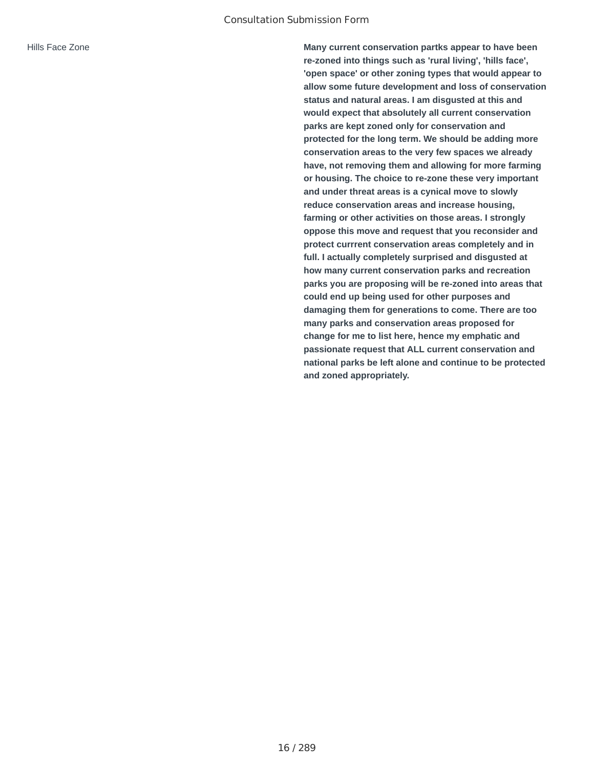Hills Face Zone **Many current conservation partks appear to have been re-zoned into things such as 'rural living', 'hills face', 'open space' or other zoning types that would appear to allow some future development and loss of conservation status and natural areas. I am disgusted at this and would expect that absolutely all current conservation parks are kept zoned only for conservation and protected for the long term. We should be adding more conservation areas to the very few spaces we already have, not removing them and allowing for more farming or housing. The choice to re-zone these very important and under threat areas is a cynical move to slowly reduce conservation areas and increase housing, farming or other activities on those areas. I strongly oppose this move and request that you reconsider and protect currrent conservation areas completely and in full. I actually completely surprised and disgusted at how many current conservation parks and recreation parks you are proposing will be re-zoned into areas that could end up being used for other purposes and damaging them for generations to come. There are too many parks and conservation areas proposed for change for me to list here, hence my emphatic and passionate request that ALL current conservation and national parks be left alone and continue to be protected and zoned appropriately.**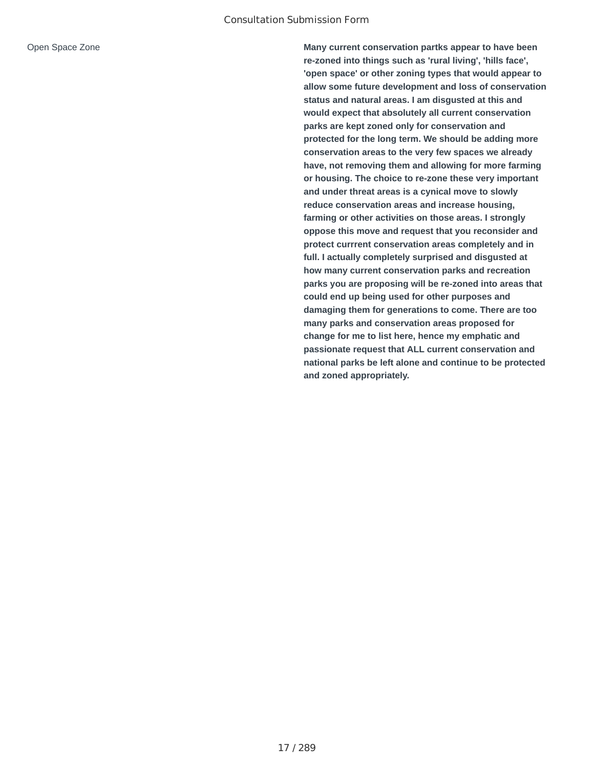Open Space Zone **Many current conservation partks appear to have been re-zoned into things such as 'rural living', 'hills face', 'open space' or other zoning types that would appear to allow some future development and loss of conservation status and natural areas. I am disgusted at this and would expect that absolutely all current conservation parks are kept zoned only for conservation and protected for the long term. We should be adding more conservation areas to the very few spaces we already have, not removing them and allowing for more farming or housing. The choice to re-zone these very important and under threat areas is a cynical move to slowly reduce conservation areas and increase housing, farming or other activities on those areas. I strongly oppose this move and request that you reconsider and protect currrent conservation areas completely and in full. I actually completely surprised and disgusted at how many current conservation parks and recreation parks you are proposing will be re-zoned into areas that could end up being used for other purposes and damaging them for generations to come. There are too many parks and conservation areas proposed for change for me to list here, hence my emphatic and passionate request that ALL current conservation and national parks be left alone and continue to be protected and zoned appropriately.**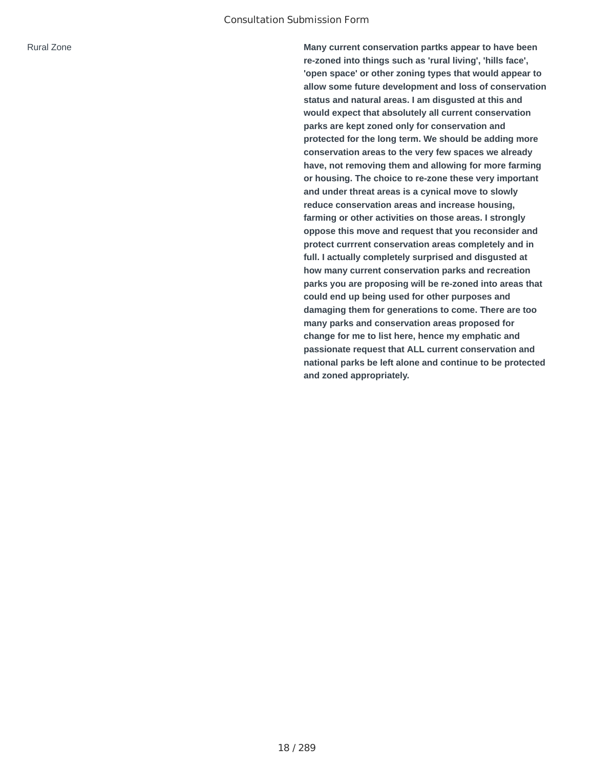Rural Zone **Many current conservation partks appear to have been re-zoned into things such as 'rural living', 'hills face', 'open space' or other zoning types that would appear to allow some future development and loss of conservation status and natural areas. I am disgusted at this and would expect that absolutely all current conservation parks are kept zoned only for conservation and protected for the long term. We should be adding more conservation areas to the very few spaces we already have, not removing them and allowing for more farming or housing. The choice to re-zone these very important and under threat areas is a cynical move to slowly reduce conservation areas and increase housing, farming or other activities on those areas. I strongly oppose this move and request that you reconsider and protect currrent conservation areas completely and in full. I actually completely surprised and disgusted at how many current conservation parks and recreation parks you are proposing will be re-zoned into areas that could end up being used for other purposes and damaging them for generations to come. There are too many parks and conservation areas proposed for change for me to list here, hence my emphatic and passionate request that ALL current conservation and national parks be left alone and continue to be protected and zoned appropriately.**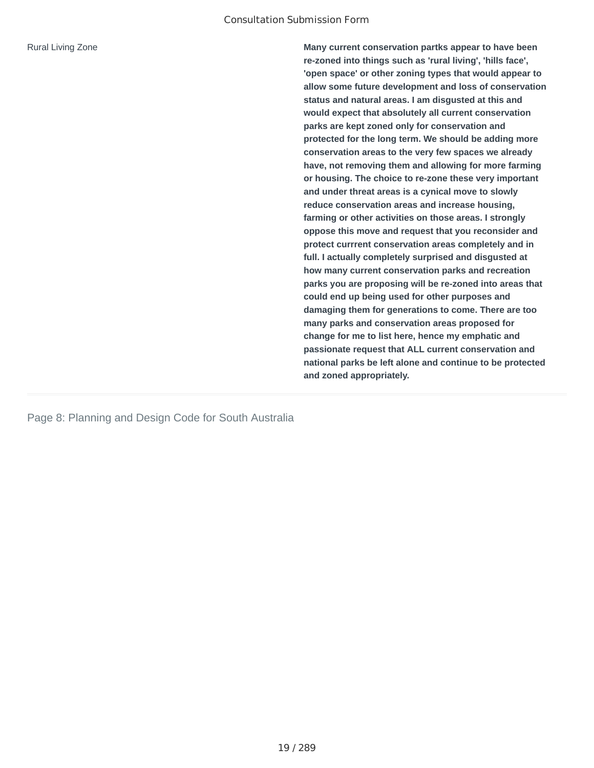Rural Living Zone **Many current conservation partks appear to have been re-zoned into things such as 'rural living', 'hills face', 'open space' or other zoning types that would appear to allow some future development and loss of conservation status and natural areas. I am disgusted at this and would expect that absolutely all current conservation parks are kept zoned only for conservation and protected for the long term. We should be adding more conservation areas to the very few spaces we already have, not removing them and allowing for more farming or housing. The choice to re-zone these very important and under threat areas is a cynical move to slowly reduce conservation areas and increase housing, farming or other activities on those areas. I strongly oppose this move and request that you reconsider and protect currrent conservation areas completely and in full. I actually completely surprised and disgusted at how many current conservation parks and recreation parks you are proposing will be re-zoned into areas that could end up being used for other purposes and damaging them for generations to come. There are too many parks and conservation areas proposed for change for me to list here, hence my emphatic and passionate request that ALL current conservation and national parks be left alone and continue to be protected and zoned appropriately.**

Page 8: Planning and Design Code for South Australia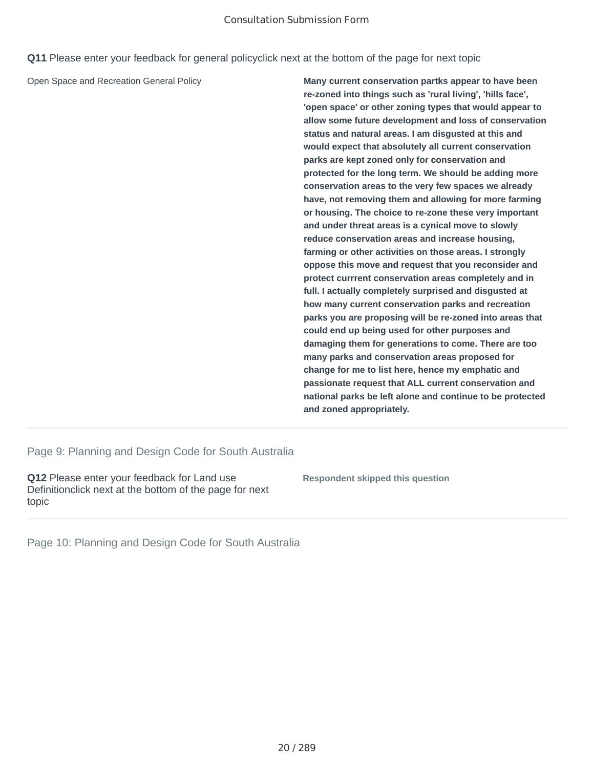#### Consultation Submission Form

**Q11** Please enter your feedback for general policyclick next at the bottom of the page for next topic

Open Space and Recreation General Policy **Many current conservation partks appear to have been re-zoned into things such as 'rural living', 'hills face', 'open space' or other zoning types that would appear to allow some future development and loss of conservation status and natural areas. I am disgusted at this and would expect that absolutely all current conservation parks are kept zoned only for conservation and protected for the long term. We should be adding more conservation areas to the very few spaces we already have, not removing them and allowing for more farming or housing. The choice to re-zone these very important and under threat areas is a cynical move to slowly reduce conservation areas and increase housing, farming or other activities on those areas. I strongly oppose this move and request that you reconsider and protect currrent conservation areas completely and in full. I actually completely surprised and disgusted at how many current conservation parks and recreation parks you are proposing will be re-zoned into areas that could end up being used for other purposes and damaging them for generations to come. There are too many parks and conservation areas proposed for change for me to list here, hence my emphatic and passionate request that ALL current conservation and national parks be left alone and continue to be protected and zoned appropriately.**

Page 9: Planning and Design Code for South Australia

**Q12** Please enter your feedback for Land use Definitionclick next at the bottom of the page for next topic

**Respondent skipped this question**

Page 10: Planning and Design Code for South Australia